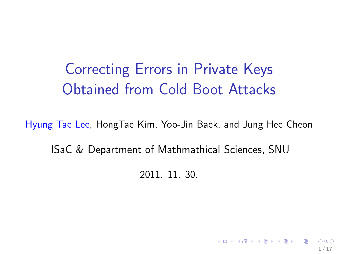Correcting Errors in Private Keys Obtained from Cold Boot Attacks

Hyung Tae Lee, HongTae Kim, Yoo-Jin Baek, and Jung Hee Cheon

ISaC & Department of Mathmathical Sciences, SNU

2011. 11. 30.

1 / 17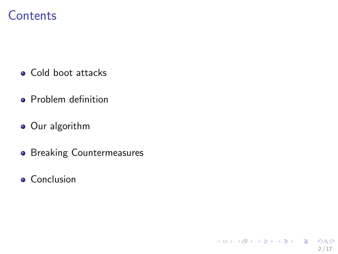## **Contents**

- Cold boot attacks
- **•** Problem definition
- Our algorithm
- **•** Breaking Countermeasures

2 / 17

 $QQQ$ 

イロト 不優 ト 不思 ト 不思 トー 温

**•** Conclusion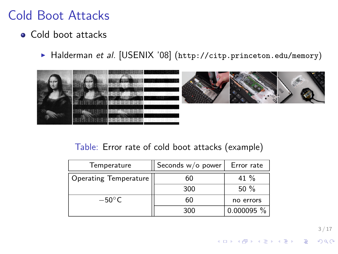## Cold Boot Attacks

### • Cold boot attacks

▶ Halderman et al. [USENIX '08] (<http://citp.princeton.edu/memory>)



#### Table: Error rate of cold boot attacks (example)

| Temperature                  | Seconds w/o power | Error rate |
|------------------------------|-------------------|------------|
| <b>Operating Temperature</b> | 60                | 41 $%$     |
|                              | 300               | $50\%$     |
| $-50^{\circ}$ C              | 60                | no errors  |
|                              | 300               | 0.000095 % |

3 / 17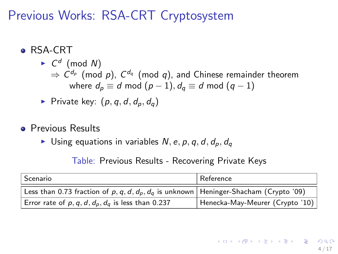Previous Works: RSA-CRT Cryptosystem

- **e** RSA-CRT
	- $\blacktriangleright$   $C^d$  (mod N)  $\Rightarrow$   $\mathsf{C}^{d_{\rho}}$  (mod  $\rho$ ),  $\mathsf{C}^{d_{q}}$  (mod  $q$ ), and Chinese remainder theorem where  $d_p \equiv d \mod (p-1), d_q \equiv d \mod (q-1)$

• Private key: 
$$
(p, q, d, d_p, d_q)
$$

- **•** Previous Results
	- In Using equations in variables  $N, e, p, q, d, d_p, d_q$

Table: Previous Results - Recovering Private Keys

| Scenario                                                                                     | Reference                       |  |
|----------------------------------------------------------------------------------------------|---------------------------------|--|
| Less than 0.73 fraction of p, q, d, $d_p$ , $d_q$ is unknown   Heninger-Shacham (Crypto '09) |                                 |  |
| Error rate of $p, q, d, d_p, d_q$ is less than 0.237                                         | Henecka-May-Meurer (Crypto '10) |  |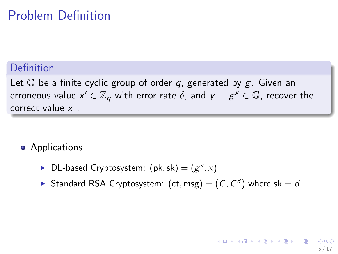## Problem Definition

### Definition

Let  $\mathbb G$  be a finite cyclic group of order q, generated by g. Given an erroneous value  $x'\in \mathbb{Z}_q$  with error rate  $\delta,$  and  $y=g^\mathsf{x}\in \mathbb{G}$ , recover the correct value x .

- **•** Applications
	- ▶ DL-based Cryptosystem:  $(\text{pk}, \text{sk}) = (g^x, x)$
	- Standard RSA Cryptosystem:  $(ct, msg) = (C, C<sup>d</sup>)$  where sk = d

5 / 17

イロト 不優 ト 不思 ト 不思 トー 理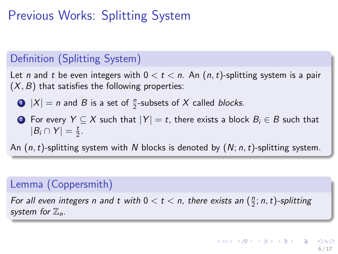# Previous Works: Splitting System

### Definition (Splitting System)

Let n and t be even integers with  $0 < t < n$ . An  $(n, t)$ -splitting system is a pair  $(X, B)$  that satisfies the following properties:

- $\bullet$   $|X| = n$  and B is a set of  $\frac{n}{2}$ -subsets of X called blocks.
- 2 For every  $Y \subseteq X$  such that  $|Y| = t$ , there exists a block  $B_i \in B$  such that  $|B_i \cap Y| = \frac{t}{2}.$

An  $(n, t)$ -splitting system with N blocks is denoted by  $(N; n, t)$ -splitting system.

### Lemma (Coppersmith)

For all even integers n and t with  $0 < t < n$ , there exists an  $(\frac{n}{2}; n, t)$ -splitting system for  $\mathbb{Z}_n$ .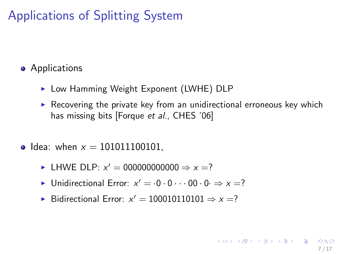# Applications of Splitting System

### **•** Applications

- ▶ Low Hamming Weight Exponent (LWHE) DLP
- $\triangleright$  Recovering the private key from an unidirectional erroneous key which has missing bits [Forque et al., CHES '06]

7 / 17

- Idea: when  $x = 101011100101$ .
	- ► LHWE DLP:  $x' = 000000000000 \Rightarrow x = ?$
	- ▶ Unidirectional Error:  $x' = 0.0 \cdot 0 \cdot 0.00$   $\Rightarrow$   $x = ?$
	- ▶ Bidirectional Error:  $x' = 100010110101 \Rightarrow x = ?$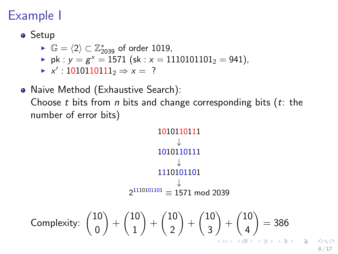# Example I

- **•** Setup
	- ►  $\mathbb{G} = \langle 2 \rangle \subset \mathbb{Z}_{2039}^*$  of order 1019,
	- pk :  $y = g^x = 1571$  (sk :  $x = 1110101101_2 = 941$ ),
	- $\blacktriangleright$  x': 1010110111<sub>2</sub> ⇒ x = ?
- Naive Method (Exhaustive Search): Choose t bits from n bits and change corresponding bits  $(t)$ : the number of error bits)

$$
\begin{array}{r}\n1010110111 \\
\downarrow \\
1010110111 \\
\downarrow \\
2^{1110101101} \\
\downarrow \\
2^{1110101101} \\
\downarrow \\
2^{1110101101} \\
\downarrow \\
2^{1110101101} \\
\downarrow \\
2^{1110101101} \\
\downarrow \\
2^{1110101101} \\
\downarrow \\
2^{1110101101} \\
\downarrow \\
2^{1110101101} \\
\downarrow \\
2^{1110101101} \\
\downarrow \\
2^{1110101101} \\
\downarrow \\
2^{1110101101} \\
\downarrow \\
2^{1110101101} \\
\downarrow \\
2^{1110101101} \\
\downarrow \\
2^{1110101101} \\
\downarrow \\
2^{1110101101} \\
\downarrow \\
2^{1110101101} \\
\downarrow \\
2^{1110101101} \\
\downarrow \\
2^{1110101101} \\
\downarrow \\
2^{1110101101} \\
\downarrow \\
2^{1110101101} \\
\downarrow \\
2^{1110101101} \\
\downarrow \\
2^{1110101101} \\
\downarrow \\
2^{1110101101} \\
\downarrow \\
2^{1110101101} \\
\downarrow \\
2^{1110101101} \\
\downarrow \\
2^{11101010101} \\
\downarrow \\
2^{11101010101} \\
\downarrow \\
2^{11101010101} \\
\downarrow \\
2^{11101010101} \\
\downarrow \\
2^{11101010101} \\
\downarrow \\
2^{11101010101} \\
\downarrow \\
2^{11101010101} \\
\downarrow \\
2^{1110101010101} \\
\downarrow \\
2^{1110101010101} \\
\downarrow \\
2^{1110101010101} \\
\downarrow \\
2^{1110101010101} \\
\downarrow \\
2^{111010101010101} \\
\downarrow \\
2^{111010101010101} \\
\downarrow \\
2^{1110101
$$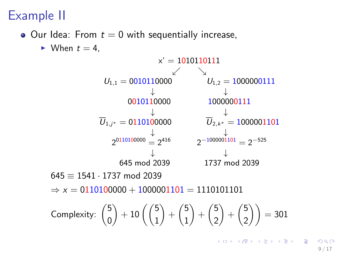# Example II

 $\bullet$  Our Idea: From  $t = 0$  with sequentially increase,

 $\blacktriangleright$  When  $t = 4$ ,

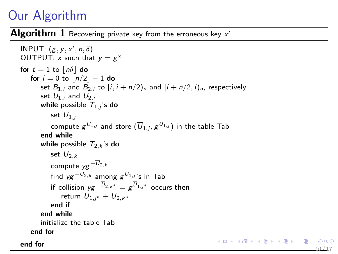# Our Algorithm

 $\mathsf{Algorithm}\;1$  Recovering private key from the erroneous key  $\mathsf{x}'$ 

```
INPUT: (g, y, x', n, \delta)OUTPUT: x such that y = g^xfor t = 1 to |n\delta| do
   for i = 0 to |n/2| - 1 do
      set B_{1,i} and B_{2,i} to [i, i + n/2]_n and [i + n/2, i]_n, respectively
      set U_{1,i} and U_{2,i}while possible \mathcal{T}_{1,j}'s do
          set U_{1,i}compute g^{U_{1,j}} and store (\overline{U}_{1,j}, g^{U_{1,j}}) in the table Tab
      end while
      while possible T_{2,k}'s do
          set \overline{U}_{2,k}compute v e^{-\overline{U}_{2,k}}find yg^{-U_{2,k}} among g^{U_{1,j}}'s in Tab
           if collision y g^{-U_{2,k^*}} = g^{U_{1,j^*}} occurs then
             return \overline{U}_{1,i^*} + \overline{U}_{2,k^*}end if
      end while
      initialize the table Tab
   end for
end for 10/17
```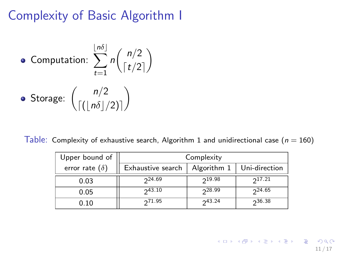Complexity of Basic Algorithm I

\n- Computation: 
$$
\sum_{t=1}^{\lfloor n\delta \rfloor} n \binom{n/2}{\lceil t/2 \rceil}
$$
\n- Storage:  $\binom{n/2}{\lceil (\lfloor n\delta \rfloor/2) \rceil}$
\n

Table: Complexity of exhaustive search, Algorithm [1](#page-9-0) and unidirectional case ( $n = 160$ )

| Upper bound of        | Complexity        |             |               |  |
|-----------------------|-------------------|-------------|---------------|--|
| error rate $(\delta)$ | Exhaustive search | Algorithm 1 | Uni-direction |  |
| 0.03                  | $2^{24.69}$       | 219.98      | $2^{17.21}$   |  |
| 0.05                  | 243.10            | 228.99      | $2^{24.65}$   |  |
| 0.10                  | 271.95            | 243.24      | 236.38        |  |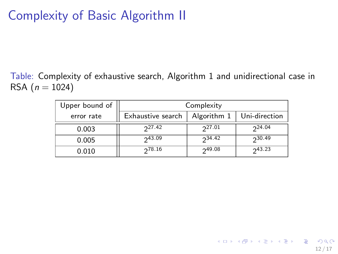# Complexity of Basic Algorithm II

Table: Complexity of exhaustive search, Algorithm [1](#page-9-0) and unidirectional case in RSA  $(n = 1024)$ 

| Upper bound of | Complexity        |               |             |  |
|----------------|-------------------|---------------|-------------|--|
| error rate     | Exhaustive search | Uni-direction |             |  |
| 0.003          | $2^{27.42}$       | $2^{27.01}$   | $2^{24.04}$ |  |
| 0.005          | 243.09            | $2^{34.42}$   | 230.49      |  |
| 0.010          | 278.16            | 249.08        | 243.23      |  |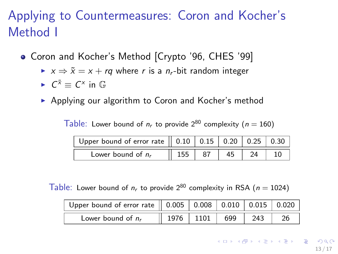# Applying to Countermeasures: Coron and Kocher's Method I

- Coron and Kocher's Method [Crypto '96, CHES '99]
	- $\triangleright$   $x \Rightarrow \tilde{x} = x + rq$  where r is a n<sub>r</sub>-bit random integer
	- $\blacktriangleright$   $C^{\tilde{x}} \equiv C^x$  in  $\mathbb{G}$
	- $\triangleright$  Applying our algorithm to Coron and Kocher's method

Table: Lower bound of  $n_r$  to provide  $2^{80}$  complexity ( $n = 160$ )

| Upper bound of error rate $\parallel$ 0.10 $\parallel$ 0.15 $\parallel$ 0.20 $\parallel$ 0.25 $\parallel$ 0.30 |     |     |    |  |
|----------------------------------------------------------------------------------------------------------------|-----|-----|----|--|
| Lower bound of $n_r$                                                                                           | 155 | -87 | 45 |  |

Table: Lower bound of  $n_r$  to provide  $2^{80}$  complexity in RSA ( $n = 1024$ )

| Upper bound of error rate    0.005   0.008   0.010   0.015   0.020 |                                                   |  |     |  |
|--------------------------------------------------------------------|---------------------------------------------------|--|-----|--|
| Lower bound of $n_r$                                               | $\parallel$ 1976 $\parallel$ 1101 $\parallel$ 699 |  | 243 |  |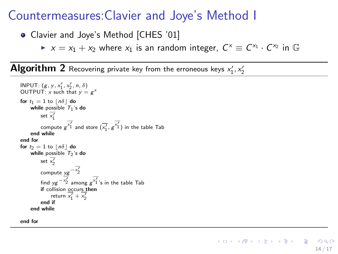## Countermeasures:Clavier and Joye's Method I

- Clavier and Joye's Method [CHES '01]
	- ►  $x = x_1 + x_2$  where  $x_1$  is an random integer,  $C^x \equiv C^{x_1} \cdot C^{x_2}$  in G

 $\mathsf{Algorithm}\;2$  Recovering private key from the erroneous keys  $\mathsf{x}'_1,\mathsf{x}'_2$ 

```
INPUT: (g, y, x'_1, x'_2, n, \delta)OUTPUT: x such that y = g^xfor t_1 = 1 to |n\delta| do
     while possible T_1's do
            set x'_11
            compute g^{\overline{x'_1}} and store (\overline{x'_1}, g^{\overline{x'_1}}) in the table Tab
     end while
end for
for t_2 = 1 to |n\delta| do
     while possible T_2's do
            set \overline{x'_2}_{\rm{compute}\ yg} - x'_{\rm{2}}find y g^{-\overline{x'_2}} among g^{\overline{x'_1}}'s in the table Tab
           if collision occurs then
                  return \overline{x'_1} + \overline{x'_2}end if
     end while
```
end for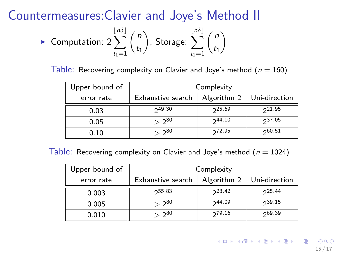### Countermeasures:Clavier and Joye's Method II

$$
\triangleright \text{ Computation: } 2\sum_{t_1=1}^{\lfloor n\delta \rfloor} \binom{n}{t_1}, \text{ Storage: } \sum_{t_1=1}^{\lfloor n\delta \rfloor} \binom{n}{t_1}
$$

Table: Recovering complexity on Clavier and Joye's method ( $n = 160$ )

| Upper bound of | Complexity        |               |             |  |
|----------------|-------------------|---------------|-------------|--|
| error rate     | Exhaustive search | Uni-direction |             |  |
| 0.03           | 249.30            | $2^{25.69}$   | $2^{21.95}$ |  |
| 0.05           | $> 2^{80}$        | 244.10        | 237.05      |  |
| 0.10           | $> 2^{80}$        | $2^{72.95}$   | 260.51      |  |

Table: Recovering complexity on Clavier and Joye's method  $(n = 1024)$ 

| Upper bound of | Complexity        |             |               |  |
|----------------|-------------------|-------------|---------------|--|
| error rate     | Exhaustive search | Algorithm 2 | Uni-direction |  |
| 0.003          | 255.83            | $2^{28.42}$ | $2^{25.44}$   |  |
| 0.005          | $> 2^{80}$        | 244.09      | 239.15        |  |
| 0.010          | $> 2^{80}$        | 279.16      | 269.39        |  |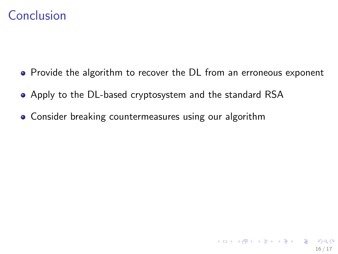## Conclusion

- Provide the algorithm to recover the DL from an erroneous exponent
- Apply to the DL-based cryptosystem and the standard RSA
- Consider breaking countermeasures using our algorithm